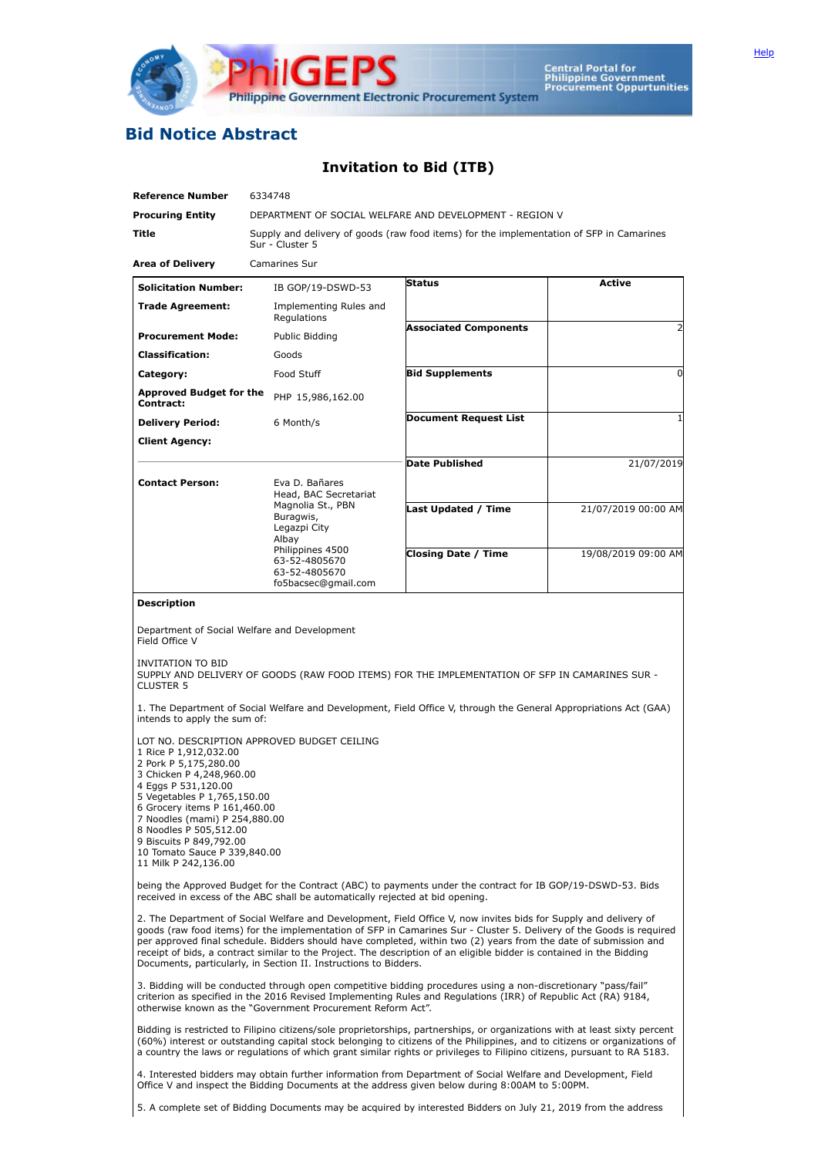

## **Bid Notice Abstract**

## **Invitation to Bid (ITB)**

| <b>Reference Number</b>                                                                                                                                                                                                                                                                                                                                                              | 6334748                                                                                                     |                                                                              |                                                                                                                                                                                                                                                                                                                                                                                                                                                                                       |                     |  |  |  |  |  |
|--------------------------------------------------------------------------------------------------------------------------------------------------------------------------------------------------------------------------------------------------------------------------------------------------------------------------------------------------------------------------------------|-------------------------------------------------------------------------------------------------------------|------------------------------------------------------------------------------|---------------------------------------------------------------------------------------------------------------------------------------------------------------------------------------------------------------------------------------------------------------------------------------------------------------------------------------------------------------------------------------------------------------------------------------------------------------------------------------|---------------------|--|--|--|--|--|
| <b>Procuring Entity</b>                                                                                                                                                                                                                                                                                                                                                              | DEPARTMENT OF SOCIAL WELFARE AND DEVELOPMENT - REGION V                                                     |                                                                              |                                                                                                                                                                                                                                                                                                                                                                                                                                                                                       |                     |  |  |  |  |  |
| Title                                                                                                                                                                                                                                                                                                                                                                                | Supply and delivery of goods (raw food items) for the implementation of SFP in Camarines<br>Sur - Cluster 5 |                                                                              |                                                                                                                                                                                                                                                                                                                                                                                                                                                                                       |                     |  |  |  |  |  |
| <b>Area of Delivery</b>                                                                                                                                                                                                                                                                                                                                                              | Camarines Sur                                                                                               |                                                                              |                                                                                                                                                                                                                                                                                                                                                                                                                                                                                       |                     |  |  |  |  |  |
| <b>Solicitation Number:</b>                                                                                                                                                                                                                                                                                                                                                          |                                                                                                             | IB GOP/19-DSWD-53                                                            | <b>Status</b>                                                                                                                                                                                                                                                                                                                                                                                                                                                                         | <b>Active</b>       |  |  |  |  |  |
| <b>Trade Agreement:</b>                                                                                                                                                                                                                                                                                                                                                              |                                                                                                             | Implementing Rules and<br>Regulations                                        |                                                                                                                                                                                                                                                                                                                                                                                                                                                                                       |                     |  |  |  |  |  |
| <b>Procurement Mode:</b>                                                                                                                                                                                                                                                                                                                                                             |                                                                                                             | Public Bidding                                                               | <b>Associated Components</b>                                                                                                                                                                                                                                                                                                                                                                                                                                                          |                     |  |  |  |  |  |
| <b>Classification:</b>                                                                                                                                                                                                                                                                                                                                                               | Goods                                                                                                       |                                                                              |                                                                                                                                                                                                                                                                                                                                                                                                                                                                                       |                     |  |  |  |  |  |
| Category:                                                                                                                                                                                                                                                                                                                                                                            | Food Stuff                                                                                                  |                                                                              | <b>Bid Supplements</b>                                                                                                                                                                                                                                                                                                                                                                                                                                                                | 0                   |  |  |  |  |  |
| <b>Approved Budget for the</b><br>Contract:                                                                                                                                                                                                                                                                                                                                          |                                                                                                             | PHP 15,986,162.00                                                            |                                                                                                                                                                                                                                                                                                                                                                                                                                                                                       |                     |  |  |  |  |  |
| <b>Delivery Period:</b>                                                                                                                                                                                                                                                                                                                                                              | 6 Month/s                                                                                                   |                                                                              | <b>Document Request List</b><br>1                                                                                                                                                                                                                                                                                                                                                                                                                                                     |                     |  |  |  |  |  |
| <b>Client Agency:</b>                                                                                                                                                                                                                                                                                                                                                                |                                                                                                             |                                                                              |                                                                                                                                                                                                                                                                                                                                                                                                                                                                                       |                     |  |  |  |  |  |
|                                                                                                                                                                                                                                                                                                                                                                                      |                                                                                                             |                                                                              | <b>Date Published</b>                                                                                                                                                                                                                                                                                                                                                                                                                                                                 | 21/07/2019          |  |  |  |  |  |
| <b>Contact Person:</b>                                                                                                                                                                                                                                                                                                                                                               | Buragwis,<br>Albay                                                                                          | Eva D. Bañares<br>Head, BAC Secretariat<br>Magnolia St., PBN<br>Legazpi City | Last Updated / Time                                                                                                                                                                                                                                                                                                                                                                                                                                                                   | 21/07/2019 00:00 AM |  |  |  |  |  |
|                                                                                                                                                                                                                                                                                                                                                                                      |                                                                                                             | Philippines 4500<br>63-52-4805670<br>63-52-4805670<br>fo5bacsec@gmail.com    | <b>Closing Date / Time</b>                                                                                                                                                                                                                                                                                                                                                                                                                                                            | 19/08/2019 09:00 AM |  |  |  |  |  |
| <b>Description</b>                                                                                                                                                                                                                                                                                                                                                                   |                                                                                                             |                                                                              |                                                                                                                                                                                                                                                                                                                                                                                                                                                                                       |                     |  |  |  |  |  |
| Department of Social Welfare and Development<br>Field Office V<br>INVITATION TO BID<br>SUPPLY AND DELIVERY OF GOODS (RAW FOOD ITEMS) FOR THE IMPLEMENTATION OF SFP IN CAMARINES SUR -<br><b>CLUSTER 5</b><br>1. The Department of Social Welfare and Development, Field Office V, through the General Appropriations Act (GAA)<br>intends to apply the sum of:                       |                                                                                                             |                                                                              |                                                                                                                                                                                                                                                                                                                                                                                                                                                                                       |                     |  |  |  |  |  |
| LOT NO. DESCRIPTION APPROVED BUDGET CEILING<br>1 Rice P 1,912,032.00<br>2 Pork P 5,175,280.00<br>3 Chicken P 4,248,960.00<br>4 Eggs P 531,120.00<br>5 Vegetables P 1,765,150.00<br>6 Grocery items P 161,460.00<br>7 Noodles (mami) P 254,880.00<br>8 Noodles P 505,512.00<br>9 Biscuits P 849,792.00<br>10 Tomato Sauce P 339,840.00<br>11 Milk P 242,136.00                        |                                                                                                             |                                                                              |                                                                                                                                                                                                                                                                                                                                                                                                                                                                                       |                     |  |  |  |  |  |
| being the Approved Budget for the Contract (ABC) to payments under the contract for IB GOP/19-DSWD-53. Bids<br>received in excess of the ABC shall be automatically rejected at bid opening.                                                                                                                                                                                         |                                                                                                             |                                                                              |                                                                                                                                                                                                                                                                                                                                                                                                                                                                                       |                     |  |  |  |  |  |
| Documents, particularly, in Section II. Instructions to Bidders.                                                                                                                                                                                                                                                                                                                     |                                                                                                             |                                                                              | 2. The Department of Social Welfare and Development, Field Office V, now invites bids for Supply and delivery of<br>goods (raw food items) for the implementation of SFP in Camarines Sur - Cluster 5. Delivery of the Goods is required<br>per approved final schedule. Bidders should have completed, within two (2) years from the date of submission and<br>receipt of bids, a contract similar to the Project. The description of an eligible bidder is contained in the Bidding |                     |  |  |  |  |  |
| 3. Bidding will be conducted through open competitive bidding procedures using a non-discretionary "pass/fail"<br>criterion as specified in the 2016 Revised Implementing Rules and Regulations (IRR) of Republic Act (RA) 9184,<br>otherwise known as the "Government Procurement Reform Act".                                                                                      |                                                                                                             |                                                                              |                                                                                                                                                                                                                                                                                                                                                                                                                                                                                       |                     |  |  |  |  |  |
| Bidding is restricted to Filipino citizens/sole proprietorships, partnerships, or organizations with at least sixty percent<br>(60%) interest or outstanding capital stock belonging to citizens of the Philippines, and to citizens or organizations of<br>a country the laws or regulations of which grant similar rights or privileges to Filipino citizens, pursuant to RA 5183. |                                                                                                             |                                                                              |                                                                                                                                                                                                                                                                                                                                                                                                                                                                                       |                     |  |  |  |  |  |
| 4. Interested bidders may obtain further information from Department of Social Welfare and Development, Field<br>Office V and inspect the Bidding Documents at the address given below during 8:00AM to 5:00PM.                                                                                                                                                                      |                                                                                                             |                                                                              |                                                                                                                                                                                                                                                                                                                                                                                                                                                                                       |                     |  |  |  |  |  |
| 5. A complete set of Bidding Documents may be acquired by interested Bidders on July 21, 2019 from the address                                                                                                                                                                                                                                                                       |                                                                                                             |                                                                              |                                                                                                                                                                                                                                                                                                                                                                                                                                                                                       |                     |  |  |  |  |  |